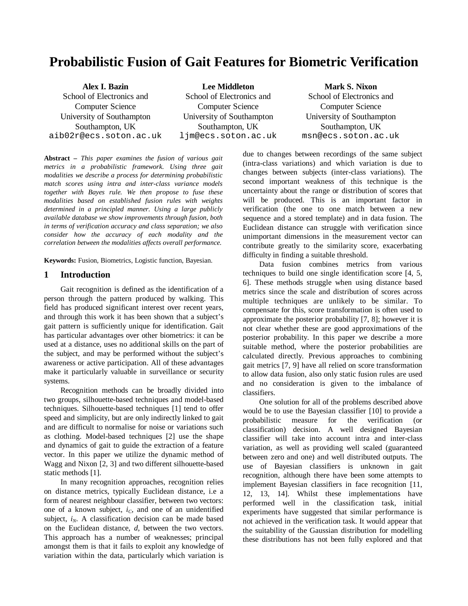# **Probabilistic Fusion of Gait Features for Biometric Verification**

**Alex I. Bazin**  School of Electronics and Computer Science University of Southampton Southampton, UK aib02r@ecs.soton.ac.uk

**Lee Middleton**  School of Electronics and Computer Science University of Southampton Southampton, UK ljm@ecs.soton.ac.uk

**Mark S. Nixon**  School of Electronics and Computer Science University of Southampton Southampton, UK msn@ecs.soton.ac.uk

**Abstract** *– This paper examines the fusion of various gait metrics in a probabilistic framework. Using three gait modalities we describe a process for determining probabilistic match scores using intra and inter-class variance models together with Bayes rule. We then propose to fuse these modalities based on established fusion rules with weights determined in a principled manner. Using a large publicly available database we show improvements through fusion, both in terms of verification accuracy and class separation; we also consider how the accuracy of each modality and the correlation between the modalities affects overall performance.* 

**Keywords:** Fusion, Biometrics, Logistic function, Bayesian.

## **1 Introduction**

Gait recognition is defined as the identification of a person through the pattern produced by walking. This field has produced significant interest over recent years, and through this work it has been shown that a subject's gait pattern is sufficiently unique for identification. Gait has particular advantages over other biometrics: it can be used at a distance, uses no additional skills on the part of the subject, and may be performed without the subject's awareness or active participation. All of these advantages make it particularly valuable in surveillance or security systems.

Recognition methods can be broadly divided into two groups, silhouette-based techniques and model-based techniques. Silhouette-based techniques [1] tend to offer speed and simplicity, but are only indirectly linked to gait and are difficult to normalise for noise or variations such as clothing. Model-based techniques [2] use the shape and dynamics of gait to guide the extraction of a feature vector. In this paper we utilize the dynamic method of Wagg and Nixon [2, 3] and two different silhouette-based static methods [1].

In many recognition approaches, recognition relies on distance metrics, typically Euclidean distance, i.e a form of nearest neighbour classifier, between two vectors: one of a known subject, *iC*, and one of an unidentified subject, *i<sub>N</sub>*. A classification decision can be made based on the Euclidean distance, *d*, between the two vectors. This approach has a number of weaknesses; principal amongst them is that it fails to exploit any knowledge of variation within the data, particularly which variation is

due to changes between recordings of the same subject (intra-class variations) and which variation is due to changes between subjects (inter-class variations). The second important weakness of this technique is the uncertainty about the range or distribution of scores that will be produced. This is an important factor in verification (the one to one match between a new sequence and a stored template) and in data fusion. The Euclidean distance can struggle with verification since unimportant dimensions in the measurement vector can contribute greatly to the similarity score, exacerbating difficulty in finding a suitable threshold.

Data fusion combines metrics from various techniques to build one single identification score [4, 5, 6]. These methods struggle when using distance based metrics since the scale and distribution of scores across multiple techniques are unlikely to be similar. To compensate for this, score transformation is often used to approximate the posterior probability [7, 8]; however it is not clear whether these are good approximations of the posterior probability. In this paper we describe a more suitable method, where the posterior probabilities are calculated directly. Previous approaches to combining gait metrics [7, 9] have all relied on score transformation to allow data fusion, also only static fusion rules are used and no consideration is given to the imbalance of classifiers.

One solution for all of the problems described above would be to use the Bayesian classifier [10] to provide a probabilistic measure for the verification (or classification) decision. A well designed Bayesian classifier will take into account intra and inter-class variation, as well as providing well scaled (guaranteed between zero and one) and well distributed outputs. The use of Bayesian classifiers is unknown in gait recognition, although there have been some attempts to implement Bayesian classifiers in face recognition [11, 12, 13, 14]. Whilst these implementations have performed well in the classification task, initial experiments have suggested that similar performance is not achieved in the verification task. It would appear that the suitability of the Gaussian distribution for modelling these distributions has not been fully explored and that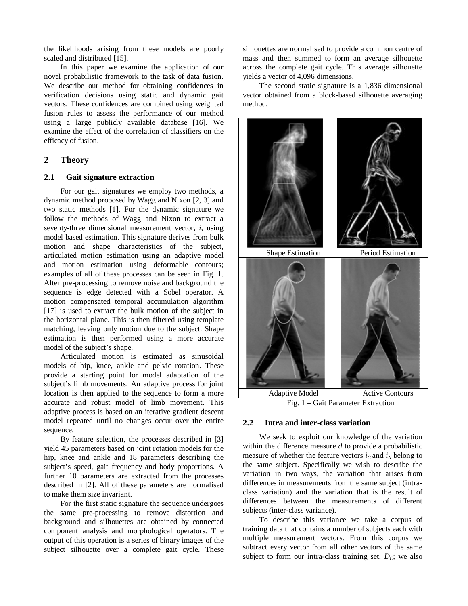the likelihoods arising from these models are poorly scaled and distributed [15].

In this paper we examine the application of our novel probabilistic framework to the task of data fusion. We describe our method for obtaining confidences in verification decisions using static and dynamic gait vectors. These confidences are combined using weighted fusion rules to assess the performance of our method using a large publicly available database [16]. We examine the effect of the correlation of classifiers on the efficacy of fusion.

# **2 Theory**

#### **2.1 Gait signature extraction**

For our gait signatures we employ two methods, a dynamic method proposed by Wagg and Nixon [2, 3] and two static methods [1]. For the dynamic signature we follow the methods of Wagg and Nixon to extract a seventy-three dimensional measurement vector, *i*, using model based estimation. This signature derives from bulk motion and shape characteristics of the subject, articulated motion estimation using an adaptive model and motion estimation using deformable contours; examples of all of these processes can be seen in Fig. 1. After pre-processing to remove noise and background the sequence is edge detected with a Sobel operator. A motion compensated temporal accumulation algorithm [17] is used to extract the bulk motion of the subject in the horizontal plane. This is then filtered using template matching, leaving only motion due to the subject. Shape estimation is then performed using a more accurate model of the subject's shape.

Articulated motion is estimated as sinusoidal models of hip, knee, ankle and pelvic rotation. These provide a starting point for model adaptation of the subject's limb movements. An adaptive process for joint location is then applied to the sequence to form a more accurate and robust model of limb movement. This adaptive process is based on an iterative gradient descent model repeated until no changes occur over the entire sequence.

By feature selection, the processes described in [3] yield 45 parameters based on joint rotation models for the hip, knee and ankle and 18 parameters describing the subject's speed, gait frequency and body proportions. A further 10 parameters are extracted from the processes described in [2]. All of these parameters are normalised to make them size invariant.

For the first static signature the sequence undergoes the same pre-processing to remove distortion and background and silhouettes are obtained by connected component analysis and morphological operators. The output of this operation is a series of binary images of the subject silhouette over a complete gait cycle. These

silhouettes are normalised to provide a common centre of mass and then summed to form an average silhouette across the complete gait cycle. This average silhouette yields a vector of 4,096 dimensions.

The second static signature is a 1,836 dimensional vector obtained from a block-based silhouette averaging method.



Fig. 1 – Gait Parameter Extraction

#### **2.2 Intra and inter-class variation**

We seek to exploit our knowledge of the variation within the difference measure *d* to provide a probabilistic measure of whether the feature vectors  $i_C$  and  $i_N$  belong to the same subject. Specifically we wish to describe the variation in two ways, the variation that arises from differences in measurements from the same subject (intraclass variation) and the variation that is the result of differences between the measurements of different subjects (inter-class variance).

To describe this variance we take a corpus of training data that contains a number of subjects each with multiple measurement vectors. From this corpus we subtract every vector from all other vectors of the same subject to form our intra-class training set,  $D_C$ ; we also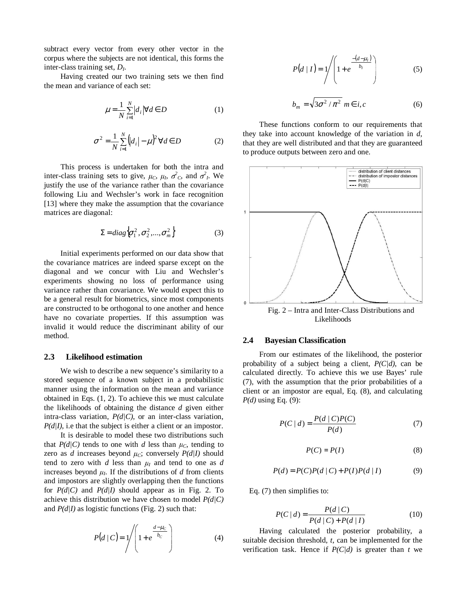subtract every vector from every other vector in the corpus where the subjects are not identical, this forms the inter-class training set, *D<sup>I</sup>* .

Having created our two training sets we then find the mean and variance of each set:

$$
\mu = \frac{1}{N} \sum_{i=1}^{N} \left| d_i \right| \forall d \in D
$$
\n(1)

$$
\sigma^2 = \frac{1}{N} \sum_{i=1}^{N} (d_i - \mu)^2 \,\forall d \in D \tag{2}
$$

This process is undertaken for both the intra and inter-class training sets to give,  $\mu_c$ ,  $\mu_h$ ,  $\sigma_c^2$ , and  $\sigma_h^2$ . We justify the use of the variance rather than the covariance following Liu and Wechsler's work in face recognition [13] where they make the assumption that the covariance matrices are diagonal:

$$
\Sigma = diag\big\{\sigma_1^2, \sigma_2^2, ..., \sigma_m^2\big\} \tag{3}
$$

Initial experiments performed on our data show that the covariance matrices are indeed sparse except on the diagonal and we concur with Liu and Wechsler's experiments showing no loss of performance using variance rather than covariance. We would expect this to be a general result for biometrics, since most components are constructed to be orthogonal to one another and hence have no covariate properties. If this assumption was invalid it would reduce the discriminant ability of our method.

#### **2.3 Likelihood estimation**

We wish to describe a new sequence's similarity to a stored sequence of a known subject in a probabilistic manner using the information on the mean and variance obtained in Eqs. (1, 2). To achieve this we must calculate the likelihoods of obtaining the distance *d* given either intra-class variation, *P(d|C)*, or an inter-class variation, *P(d|I)*, i.e that the subject is either a client or an impostor.

It is desirable to model these two distributions such that  $P(d|C)$  tends to one with *d* less than  $\mu<sub>C</sub>$ , tending to zero as *d* increases beyond  $\mu_c$ ; conversely  $P(d|I)$  should tend to zero with  $d$  less than  $\mu_l$  and tend to one as  $d$ increases beyond  $\mu_l$ . If the distributions of  $d$  from clients and impostors are slightly overlapping then the functions for *P(d|C)* and *P(d|I)* should appear as in Fig. 2. To achieve this distribution we have chosen to model *P(d|C)* and *P(d|I)* as logistic functions (Fig. 2) such that:

$$
P(d \mid C) = \sqrt{\left(1 + e^{\frac{d - \mu_C}{b_C}}\right)}
$$
 (4)

$$
P(d | I) = 1 / \left(1 + e^{\frac{-(d - \mu_I)}{b_I}}\right)
$$
 (5)

$$
b_m = \sqrt{3\sigma^2/\pi^2} \; m \in i, c \tag{6}
$$

These functions conform to our requirements that they take into account knowledge of the variation in *d*, that they are well distributed and that they are guaranteed to produce outputs between zero and one.



Fig. 2 – Intra and Inter-Class Distributions and Likelihoods

#### **2.4 Bayesian Classification**

From our estimates of the likelihood, the posterior probability of a subject being a client, *P(C|d)*, can be calculated directly. To achieve this we use Bayes' rule (7), with the assumption that the prior probabilities of a client or an impostor are equal, Eq. (8), and calculating *P(d)* using Eq. (9):

$$
P(C \mid d) = \frac{P(d \mid C)P(C)}{P(d)}\tag{7}
$$

$$
P(C) = P(I) \tag{8}
$$

$$
P(d) = P(C)P(d | C) + P(I)P(d | I)
$$
 (9)

Eq. (7) then simplifies to:

$$
P(C | d) = \frac{P(d | C)}{P(d | C) + P(d | I)}
$$
(10)

Having calculated the posterior probability, a suitable decision threshold, *t*, can be implemented for the verification task. Hence if  $P(C|d)$  is greater than *t* we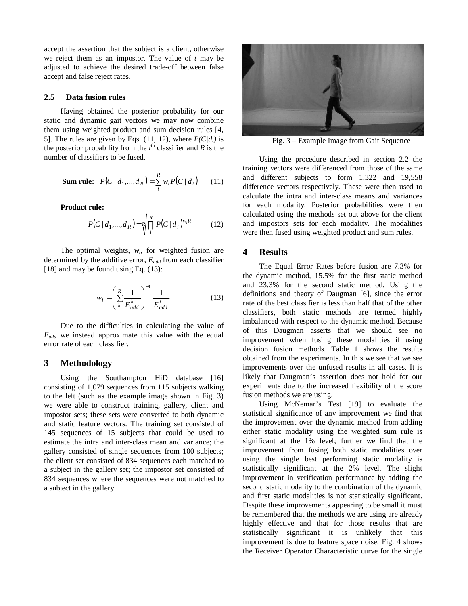accept the assertion that the subject is a client, otherwise we reject them as an impostor. The value of *t* may be adjusted to achieve the desired trade-off between false accept and false reject rates.

#### **2.5 Data fusion rules**

Having obtained the posterior probability for our static and dynamic gait vectors we may now combine them using weighted product and sum decision rules [4, 5]. The rules are given by Eqs. (11, 12), where  $P(C/d_i)$  is the posterior probability from the  $i<sup>th</sup>$  classifier and  $R$  is the number of classifiers to be fused.

**Sum rule:** 
$$
P(C | d_1, ..., d_R) = \sum_{i}^{R} w_i P(C | d_i)
$$
 (11)

**Product rule:** 

$$
P(C | d_1, ..., d_R) = \sqrt[R]{\prod_{i}^{R} P(C | d_i)^{w_i R}}
$$
 (12)

The optimal weights,  $w_i$ , for weighted fusion are determined by the additive error, *Eadd* from each classifier [18] and may be found using Eq. (13):

$$
w_i = \left(\sum_{k}^{R} \frac{1}{E_{add}^k}\right)^{-1} \frac{1}{E_{add}^i}
$$
 (13)

Due to the difficulties in calculating the value of *Eadd* we instead approximate this value with the equal error rate of each classifier.

## **3 Methodology**

Using the Southampton HiD database [16] consisting of 1,079 sequences from 115 subjects walking to the left (such as the example image shown in Fig. 3) we were able to construct training, gallery, client and impostor sets; these sets were converted to both dynamic and static feature vectors. The training set consisted of 145 sequences of 15 subjects that could be used to estimate the intra and inter-class mean and variance; the gallery consisted of single sequences from 100 subjects; the client set consisted of 834 sequences each matched to a subject in the gallery set; the impostor set consisted of 834 sequences where the sequences were not matched to a subject in the gallery.



Fig. 3 – Example Image from Gait Sequence

Using the procedure described in section 2.2 the training vectors were differenced from those of the same and different subjects to form 1,322 and 19,558 difference vectors respectively. These were then used to calculate the intra and inter-class means and variances for each modality. Posterior probabilities were then calculated using the methods set out above for the client and impostors sets for each modality. The modalities were then fused using weighted product and sum rules.

#### **4 Results**

The Equal Error Rates before fusion are 7.3% for the dynamic method, 15.5% for the first static method and 23.3% for the second static method. Using the definitions and theory of Daugman [6], since the error rate of the best classifier is less than half that of the other classifiers, both static methods are termed highly imbalanced with respect to the dynamic method. Because of this Daugman asserts that we should see no improvement when fusing these modalities if using decision fusion methods. Table 1 shows the results obtained from the experiments. In this we see that we see improvements over the unfused results in all cases. It is likely that Daugman's assertion does not hold for our experiments due to the increased flexibility of the score fusion methods we are using.

Using McNemar's Test [19] to evaluate the statistical significance of any improvement we find that the improvement over the dynamic method from adding either static modality using the weighted sum rule is significant at the 1% level; further we find that the improvement from fusing both static modalities over using the single best performing static modality is statistically significant at the 2% level. The slight improvement in verification performance by adding the second static modality to the combination of the dynamic and first static modalities is not statistically significant. Despite these improvements appearing to be small it must be remembered that the methods we are using are already highly effective and that for those results that are statistically significant it is unlikely that this improvement is due to feature space noise. Fig. 4 shows the Receiver Operator Characteristic curve for the single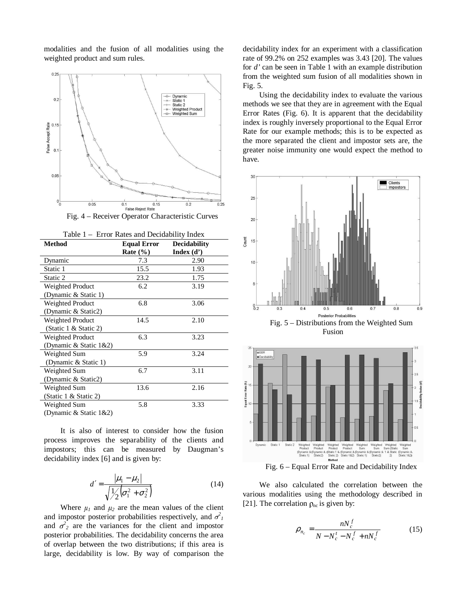modalities and the fusion of all modalities using the weighted product and sum rules.



Fig. 4 – Receiver Operator Characteristic Curves

| Table 1 – Error Rates and Decidability Index |                    |                     |  |  |
|----------------------------------------------|--------------------|---------------------|--|--|
| <b>Method</b>                                | <b>Equal Error</b> | <b>Decidability</b> |  |  |
|                                              | Rate $(\% )$       | Index $(d')$        |  |  |
| Dynamic                                      | 7.3                | 2.90                |  |  |
| Static 1                                     | 15.5               | 1.93                |  |  |
| Static 2                                     | 23.2               | 1.75                |  |  |
| Weighted Product                             | 6.2                | 3.19                |  |  |
| (Dynamic & Static 1)                         |                    |                     |  |  |
| Weighted Product                             | 6.8                | 3.06                |  |  |
| (Dynamic & Static2)                          |                    |                     |  |  |
| Weighted Product                             | 14.5               | 2.10                |  |  |
| (Static 1 & Static 2)                        |                    |                     |  |  |
| Weighted Product                             | 6.3                | 3.23                |  |  |
| (Dynamic & Static 1&2)                       |                    |                     |  |  |
| Weighted Sum                                 | 5.9                | 3.24                |  |  |
| (Dynamic & Static 1)                         |                    |                     |  |  |
| Weighted Sum                                 | 6.7                | 3.11                |  |  |
| (Dynamic & Static2)                          |                    |                     |  |  |
| Weighted Sum                                 | 13.6               | 2.16                |  |  |
| (Static 1 & Static 2)                        |                    |                     |  |  |
| Weighted Sum                                 | 5.8                | 3.33                |  |  |
| (Dynamic & Static 1&2)                       |                    |                     |  |  |

It is also of interest to consider how the fusion

process improves the separability of the clients and impostors; this can be measured by Daugman's decidability index [6] and is given by:

$$
d' = \frac{|\mu_1 - \mu_2|}{\sqrt{\frac{1}{2}(\sigma_1^2 + \sigma_2^2)}}
$$
(14)

Where  $\mu_1$  and  $\mu_2$  are the mean values of the client and impostor posterior probabilities respectively, and  $\sigma^2$ <sub>1</sub> and  $\sigma^2$ <sub>2</sub> are the variances for the client and impostor posterior probabilities. The decidability concerns the area of overlap between the two distributions; if this area is large, decidability is low. By way of comparison the

decidability index for an experiment with a classification rate of 99.2% on 252 examples was 3.43 [20]. The values for *d'* can be seen in Table 1 with an example distribution from the weighted sum fusion of all modalities shown in Fig. 5.

Using the decidability index to evaluate the various methods we see that they are in agreement with the Equal Error Rates (Fig. 6). It is apparent that the decidability index is roughly inversely proportional to the Equal Error Rate for our example methods; this is to be expected as the more separated the client and impostor sets are, the greater noise immunity one would expect the method to have.





Fig. 6 – Equal Error Rate and Decidability Index

We also calculated the correlation between the various modalities using the methodology described in [21]. The correlation  $\rho_{nc}$  is given by:

$$
\rho_{n_c} = \frac{nN_c^f}{N - N_c^t - N_c^f + nN_c^f}
$$
(15)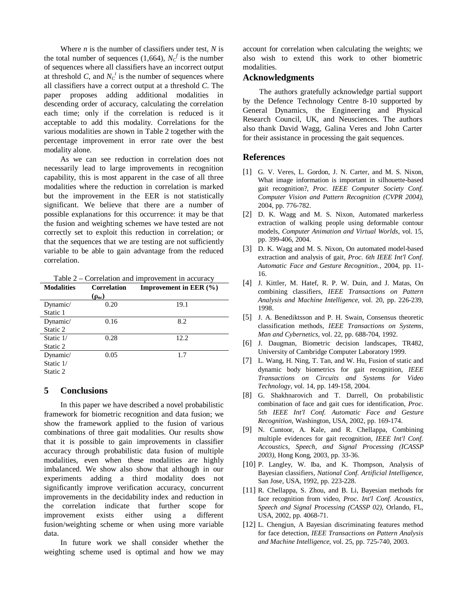Where *n* is the number of classifiers under test, *N* is the total number of sequences (1,664),  $N_c^f$  is the number of sequences where all classifiers have an incorrect output at threshold *C*, and  $N_c^t$  is the number of sequences where all classifiers have a correct output at a threshold *C*. The paper proposes adding additional modalities in descending order of accuracy, calculating the correlation each time; only if the correlation is reduced is it acceptable to add this modality. Correlations for the various modalities are shown in Table 2 together with the percentage improvement in error rate over the best modality alone.

As we can see reduction in correlation does not necessarily lead to large improvements in recognition capability, this is most apparent in the case of all three modalities where the reduction in correlation is marked but the improvement in the EER is not statistically significant. We believe that there are a number of possible explanations for this occurrence: it may be that the fusion and weighting schemes we have tested are not correctly set to exploit this reduction in correlation; or that the sequences that we are testing are not sufficiently variable to be able to gain advantage from the reduced correlation.

Table 2 – Correlation and improvement in accuracy

| <b>Modalities</b> | <b>Correlation</b> | <b>Improvement in EER</b> $(\% )$ |
|-------------------|--------------------|-----------------------------------|
|                   | $(\rho_{nc})$      |                                   |
| Dynamic/          | 0.20               | 19.1                              |
| Static 1          |                    |                                   |
| Dynamic/          | 0.16               | 8.2                               |
| Static 2          |                    |                                   |
| Static 1/         | 0.28               | 12.2                              |
| Static 2          |                    |                                   |
| Dynamic/          | 0.05               | 1.7                               |
| Static 1/         |                    |                                   |
| Static 2          |                    |                                   |

# **5 Conclusions**

In this paper we have described a novel probabilistic framework for biometric recognition and data fusion; we show the framework applied to the fusion of various combinations of three gait modalities. Our results show that it is possible to gain improvements in classifier accuracy through probabilistic data fusion of multiple modalities, even when these modalities are highly imbalanced. We show also show that although in our experiments adding a third modality does not significantly improve verification accuracy, concurrent improvements in the decidability index and reduction in the correlation indicate that further scope for improvement exists either using a different fusion/weighting scheme or when using more variable data.

In future work we shall consider whether the weighting scheme used is optimal and how we may account for correlation when calculating the weights; we also wish to extend this work to other biometric modalities.

# **Acknowledgments**

The authors gratefully acknowledge partial support by the Defence Technology Centre 8-10 supported by General Dynamics, the Engineering and Physical Research Council, UK, and Neusciences. The authors also thank David Wagg, Galina Veres and John Carter for their assistance in processing the gait sequences.

# **References**

- [1] G. V. Veres, L. Gordon, J. N. Carter, and M. S. Nixon, What image information is important in silhouette-based gait recognition?*, Proc. IEEE Computer Society Conf. Computer Vision and Pattern Recognition (CVPR 2004)*, 2004, pp. 776-782.
- [2] D. K. Wagg and M. S. Nixon, Automated markerless extraction of walking people using deformable contour models, *Computer Animation and Virtual Worlds*, vol. 15, pp. 399-406, 2004.
- [3] D. K. Wagg and M. S. Nixon, On automated model-based extraction and analysis of gait*, Proc. 6th IEEE Int'l Conf. Automatic Face and Gesture Recognition.*, 2004, pp. 11- 16.
- [4] J. Kittler, M. Hatef, R. P. W. Duin, and J. Matas, On combining classifiers, *IEEE Transactions on Pattern Analysis and Machine Intelligence*, vol. 20, pp. 226-239, 1998.
- [5] J. A. Benediktsson and P. H. Swain, Consensus theoretic classification methods, *IEEE Transactions on Systems, Man and Cybernetics*, vol. 22, pp. 688-704, 1992.
- [6] J. Daugman, Biometric decision landscapes, TR482, University of Cambridge Computer Laboratory 1999.
- [7] L. Wang, H. Ning, T. Tan, and W. Hu, Fusion of static and dynamic body biometrics for gait recognition, *IEEE Transactions on Circuits and Systems for Video Technology*, vol. 14, pp. 149-158, 2004.
- [8] G. Shakhnarovich and T. Darrell, On probabilistic combination of face and gait cues for identification*, Proc. 5th IEEE Int'l Conf. Automatic Face and Gesture Recognition*, Washington, USA, 2002, pp. 169-174.
- [9] N. Cuntoor, A. Kale, and R. Chellappa, Combining multiple evidences for gait recognition*, IEEE Int'l Conf. Accoustics, Speech, and Signal Processing (ICASSP 2003)*, Hong Kong, 2003, pp. 33-36.
- [10] P. Langley, W. Iba, and K. Thompson, Analysis of Bayesian classifiers*, National Conf. Artificial Intelligence*, San Jose, USA, 1992, pp. 223-228.
- [11] R. Chellappa, S. Zhou, and B. Li, Bayesian methods for face recognition from video*, Proc. Int'l Conf. Acoustics, Speech and Signal Processing (CASSP 02)*, Orlando, FL, USA, 2002, pp. 4068-71.
- [12] L. Chengjun, A Bayesian discriminating features method for face detection, *IEEE Transactions on Pattern Analysis and Machine Intelligence*, vol. 25, pp. 725-740, 2003.